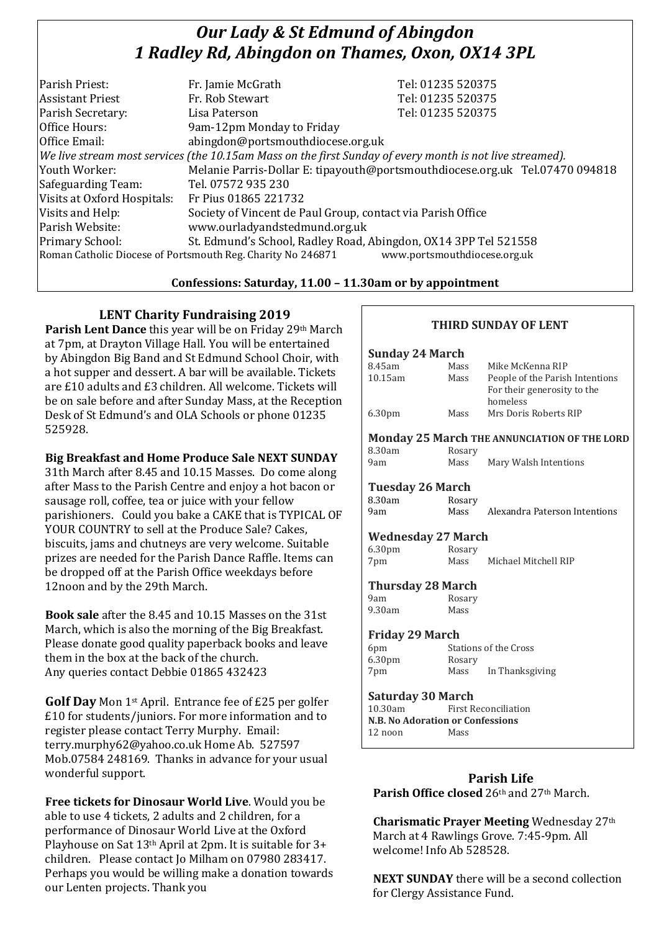# *Our Lady & St Edmund of Abingdon 1 Radley Rd, Abingdon on Thames, Oxon, OX14 3PL*

| Parish Priest:                                                                                           | Fr. Jamie McGrath                                                            | Tel: 01235 520375 |  |
|----------------------------------------------------------------------------------------------------------|------------------------------------------------------------------------------|-------------------|--|
| <b>Assistant Priest</b>                                                                                  | Fr. Rob Stewart                                                              | Tel: 01235 520375 |  |
| Parish Secretary:                                                                                        | Lisa Paterson                                                                | Tel: 01235 520375 |  |
| Office Hours:                                                                                            | 9am-12pm Monday to Friday                                                    |                   |  |
| Office Email:                                                                                            | abingdon@portsmouthdiocese.org.uk                                            |                   |  |
| We live stream most services (the 10.15am Mass on the first Sunday of every month is not live streamed). |                                                                              |                   |  |
| Youth Worker:                                                                                            | Melanie Parris-Dollar E: tipayouth@portsmouthdiocese.org.uk Tel.07470 094818 |                   |  |
| Safeguarding Team:                                                                                       | Tel. 07572 935 230                                                           |                   |  |
| Visits at Oxford Hospitals:                                                                              | Fr Pius 01865 221732                                                         |                   |  |
| Visits and Help:                                                                                         | Society of Vincent de Paul Group, contact via Parish Office                  |                   |  |
| Parish Website:                                                                                          | www.ourladyandstedmund.org.uk                                                |                   |  |
| Primary School:                                                                                          | St. Edmund's School, Radley Road, Abingdon, OX14 3PP Tel 521558              |                   |  |
| Roman Catholic Diocese of Portsmouth Reg. Charity No 246871<br>www.portsmouthdiocese.org.uk              |                                                                              |                   |  |

#### **Confessions: Saturday, 11.00 – 11.30am or by appointment**

#### **LENT Charity Fundraising 2019**

**Parish Lent Dance** this year will be on Friday 29th March at 7pm, at Drayton Village Hall. You will be entertained by Abingdon Big Band and St Edmund School Choir, with a hot supper and dessert. A bar will be available. Tickets are £10 adults and £3 children. All welcome. Tickets will be on sale before and after Sunday Mass, at the Reception Desk of St Edmund's and OLA Schools or phone 01235 525928.

#### **Big Breakfast and Home Produce Sale NEXT SUNDAY**

31th March after 8.45 and 10.15 Masses. Do come along after Mass to the Parish Centre and enjoy a hot bacon or sausage roll, coffee, tea or juice with your fellow parishioners. Could you bake a CAKE that is TYPICAL OF YOUR COUNTRY to sell at the Produce Sale? Cakes, biscuits, jams and chutneys are very welcome. Suitable prizes are needed for the Parish Dance Raffle. Items can be dropped off at the Parish Office weekdays before 12noon and by the 29th March.

**Book sale** after the 8.45 and 10.15 Masses on the 31st March, which is also the morning of the Big Breakfast. Please donate good quality paperback books and leave them in the box at the back of the church. Any queries contact Debbie 01865 432423

**Golf Day** Mon 1st April. Entrance fee of £25 per golfer £10 for students/juniors. For more information and to register please contact Terry Murphy. Email: terry.murphy62@yahoo.co.uk Home Ab. 527597 Mob.07584 248169. Thanks in advance for your usual wonderful support.

**Free tickets for Dinosaur World Live**. Would you be able to use 4 tickets, 2 adults and 2 children, for a performance of Dinosaur World Live at the Oxford Playhouse on Sat 13th April at 2pm. It is suitable for 3+ children. Please contact Jo Milham on 07980 283417. Perhaps you would be willing make a donation towards our Lenten projects. Thank you

## **THIRD SUNDAY OF LENT**

#### **Sunday 24 March** 8.45am Mass Mike McKenna RIP 10.15am Mass People of the Parish Intentions For their generosity to the homeless 6.30pm Mass Mrs Doris Roberts RIP

### **Monday 25 March THE ANNUNCIATION OF THE LORD**

8.30am Rosary

9am Mass Mary Walsh Intentions

#### **Tuesday 26 March** 8.30am Rosary

9am Mass Alexandra Paterson Intentions

#### **Wednesday 27 March**

6.30pm Rosary 7pm Mass Michael Mitchell RIP

#### **Thursday 28 March**

9am Rosary 9.30am Mass

#### **Friday 29 March**

| 6pm                | Stations of the Cross |                 |
|--------------------|-----------------------|-----------------|
| 6.30 <sub>pm</sub> | Rosary                |                 |
| 7pm                | Mass                  | In Thanksgiving |

# **Saturday 30 March**

**First Reconciliation N.B. No Adoration or Confessions**  12 noon Mass

# **Parish Life**

**Parish Office closed** 26th and 27th March.

**Charismatic Prayer Meeting** Wednesday 27th March at 4 Rawlings Grove. 7:45-9pm. All welcome! Info Ab 528528.

**NEXT SUNDAY** there will be a second collection for Clergy Assistance Fund.